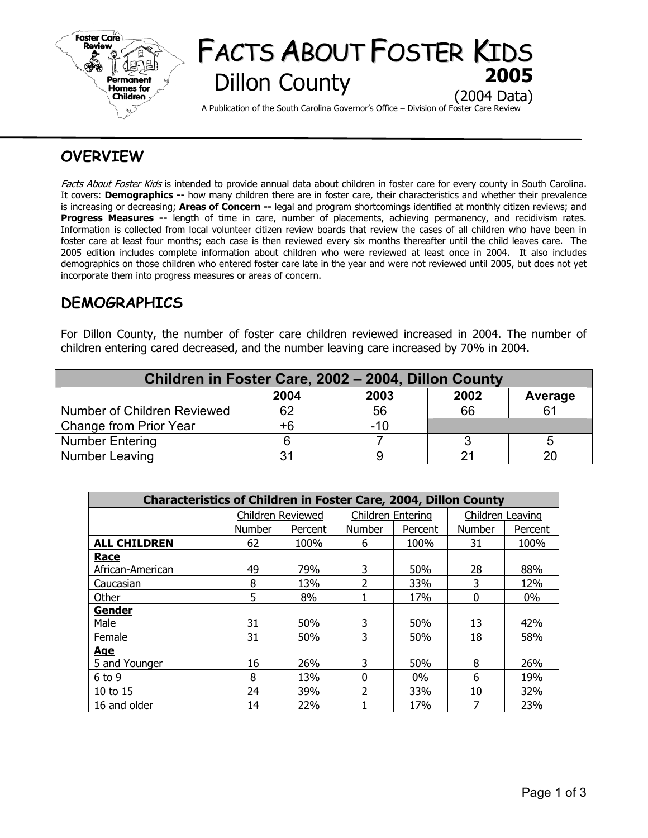

# FACTS ABOUT FOSTER KIDS **Dillon County** (2004 Data)

A Publication of the South Carolina Governor's Office – Division of Foster Care Review

## **OVERVIEW**

Facts About Foster Kids is intended to provide annual data about children in foster care for every county in South Carolina. It covers: **Demographics --** how many children there are in foster care, their characteristics and whether their prevalence is increasing or decreasing; **Areas of Concern --** legal and program shortcomings identified at monthly citizen reviews; and **Progress Measures --** length of time in care, number of placements, achieving permanency, and recidivism rates. Information is collected from local volunteer citizen review boards that review the cases of all children who have been in foster care at least four months; each case is then reviewed every six months thereafter until the child leaves care. The 2005 edition includes complete information about children who were reviewed at least once in 2004. It also includes demographics on those children who entered foster care late in the year and were not reviewed until 2005, but does not yet incorporate them into progress measures or areas of concern.

## **DEMOGRAPHICS**

For Dillon County, the number of foster care children reviewed increased in 2004. The number of children entering cared decreased, and the number leaving care increased by 70% in 2004.

| Children in Foster Care, 2002 - 2004, Dillon County |      |       |      |         |  |  |  |  |
|-----------------------------------------------------|------|-------|------|---------|--|--|--|--|
|                                                     | 2004 | 2003  | 2002 | Average |  |  |  |  |
| Number of Children Reviewed                         | 62   | 56    | 66   | R1      |  |  |  |  |
| Change from Prior Year                              | +6   | $-10$ |      |         |  |  |  |  |
| <b>Number Entering</b>                              |      |       |      |         |  |  |  |  |
| Number Leaving                                      |      |       |      | റ       |  |  |  |  |

| <b>Characteristics of Children in Foster Care, 2004, Dillon County</b> |                   |         |                   |         |                  |         |  |  |  |
|------------------------------------------------------------------------|-------------------|---------|-------------------|---------|------------------|---------|--|--|--|
|                                                                        | Children Reviewed |         | Children Entering |         | Children Leaving |         |  |  |  |
|                                                                        | Number            | Percent | <b>Number</b>     | Percent | <b>Number</b>    | Percent |  |  |  |
| <b>ALL CHILDREN</b>                                                    | 62                | 100%    | 6                 | 100%    | 31               | 100%    |  |  |  |
| <b>Race</b>                                                            |                   |         |                   |         |                  |         |  |  |  |
| African-American                                                       | 49                | 79%     | 3                 | 50%     | 28               | 88%     |  |  |  |
| Caucasian                                                              | 8                 | 13%     | $\overline{2}$    | 33%     | 3                | 12%     |  |  |  |
| Other                                                                  | 5                 | 8%      |                   | 17%     | $\Omega$         | $0\%$   |  |  |  |
| Gender                                                                 |                   |         |                   |         |                  |         |  |  |  |
| Male                                                                   | 31                | 50%     | 3                 | 50%     | 13               | 42%     |  |  |  |
| Female                                                                 | 31                | 50%     | 3                 | 50%     | 18               | 58%     |  |  |  |
| <b>Age</b>                                                             |                   |         |                   |         |                  |         |  |  |  |
| 5 and Younger                                                          | 16                | 26%     | 3                 | 50%     | 8                | 26%     |  |  |  |
| $6$ to $9$                                                             | 8                 | 13%     | $\Omega$          | $0\%$   | 6                | 19%     |  |  |  |
| 10 to 15                                                               | 24                | 39%     | 2                 | 33%     | 10               | 32%     |  |  |  |
| 16 and older                                                           | 14                | 22%     |                   | 17%     | 7                | 23%     |  |  |  |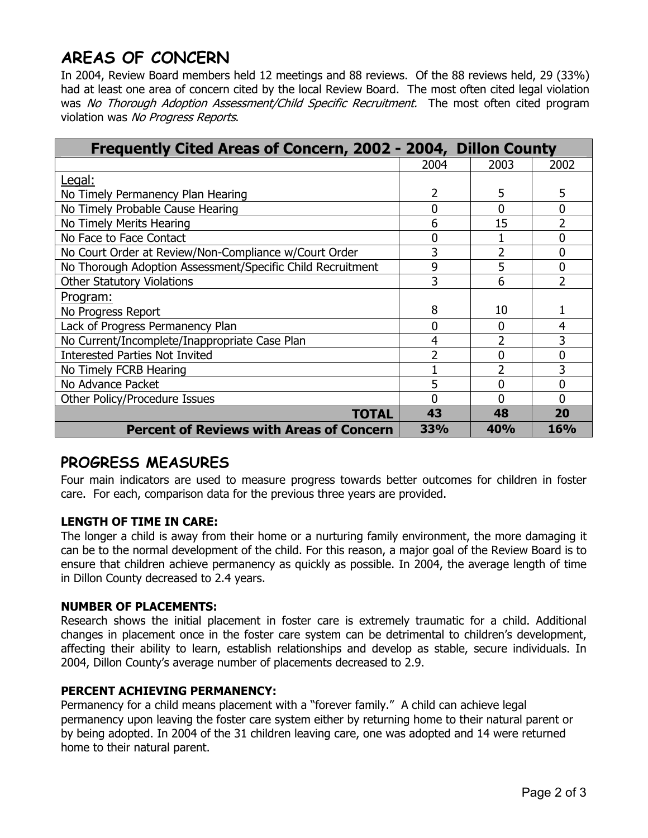# **AREAS OF CONCERN**

In 2004, Review Board members held 12 meetings and 88 reviews. Of the 88 reviews held, 29 (33%) had at least one area of concern cited by the local Review Board. The most often cited legal violation was No Thorough Adoption Assessment/Child Specific Recruitment. The most often cited program violation was No Progress Reports.

| Frequently Cited Areas of Concern, 2002 - 2004, Dillon County |      |                |                          |
|---------------------------------------------------------------|------|----------------|--------------------------|
|                                                               | 2004 | 2003           | 2002                     |
| Legal:                                                        |      |                |                          |
| No Timely Permanency Plan Hearing                             | 2    | 5              | 5                        |
| No Timely Probable Cause Hearing                              | 0    | 0              | $\overline{0}$           |
| No Timely Merits Hearing                                      | 6    | 15             | $\overline{2}$           |
| No Face to Face Contact                                       | 0    |                | $\overline{0}$           |
| No Court Order at Review/Non-Compliance w/Court Order         | 3    | $\overline{2}$ | 0                        |
| No Thorough Adoption Assessment/Specific Child Recruitment    | 9    | 5              | 0                        |
| <b>Other Statutory Violations</b>                             | 3    | 6              | $\overline{\phantom{a}}$ |
| <u>Program:</u>                                               |      |                |                          |
| No Progress Report                                            | 8    | 10             |                          |
| Lack of Progress Permanency Plan                              | 0    | 0              | 4                        |
| No Current/Incomplete/Inappropriate Case Plan                 | 4    | 2              | 3                        |
| <b>Interested Parties Not Invited</b>                         |      | 0              | 0                        |
| No Timely FCRB Hearing                                        |      |                | 3                        |
| No Advance Packet                                             | 5    | 0              | 0                        |
| Other Policy/Procedure Issues                                 | 0    | N              | 0                        |
| TOTAL                                                         | 43   | 48             | 20                       |
| <b>Percent of Reviews with Areas of Concern</b>               | 33%  | 40%            | <b>16%</b>               |

### **PROGRESS MEASURES**

Four main indicators are used to measure progress towards better outcomes for children in foster care. For each, comparison data for the previous three years are provided.

### **LENGTH OF TIME IN CARE:**

The longer a child is away from their home or a nurturing family environment, the more damaging it can be to the normal development of the child. For this reason, a major goal of the Review Board is to ensure that children achieve permanency as quickly as possible. In 2004, the average length of time in Dillon County decreased to 2.4 years.

### **NUMBER OF PLACEMENTS:**

Research shows the initial placement in foster care is extremely traumatic for a child. Additional changes in placement once in the foster care system can be detrimental to children's development, affecting their ability to learn, establish relationships and develop as stable, secure individuals. In 2004, Dillon County's average number of placements decreased to 2.9.

### **PERCENT ACHIEVING PERMANENCY:**

Permanency for a child means placement with a "forever family." A child can achieve legal permanency upon leaving the foster care system either by returning home to their natural parent or by being adopted. In 2004 of the 31 children leaving care, one was adopted and 14 were returned home to their natural parent.